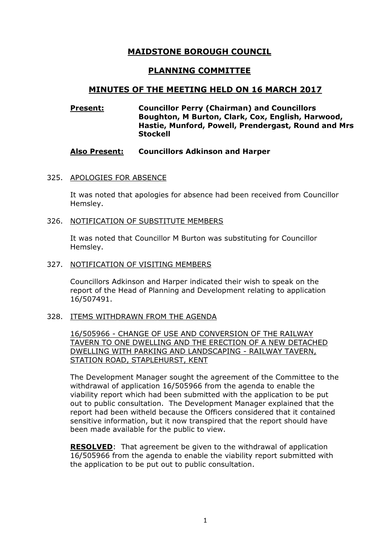# MAIDSTONE BOROUGH COUNCIL

# PLANNING COMMITTEE

## MINUTES OF THE MEETING HELD ON 16 MARCH 2017

## Present: Councillor Perry (Chairman) and Councillors Boughton, M Burton, Clark, Cox, English, Harwood, Hastie, Munford, Powell, Prendergast, Round and Mrs **Stockell**

## Also Present: Councillors Adkinson and Harper

#### 325. APOLOGIES FOR ABSENCE

It was noted that apologies for absence had been received from Councillor Hemsley.

#### 326. NOTIFICATION OF SUBSTITUTE MEMBERS

It was noted that Councillor M Burton was substituting for Councillor Hemsley.

327. NOTIFICATION OF VISITING MEMBERS

Councillors Adkinson and Harper indicated their wish to speak on the report of the Head of Planning and Development relating to application 16/507491.

#### 328. ITEMS WITHDRAWN FROM THE AGENDA

16/505966 - CHANGE OF USE AND CONVERSION OF THE RAILWAY TAVERN TO ONE DWELLING AND THE ERECTION OF A NEW DETACHED DWELLING WITH PARKING AND LANDSCAPING - RAILWAY TAVERN, STATION ROAD, STAPLEHURST, KENT

The Development Manager sought the agreement of the Committee to the withdrawal of application 16/505966 from the agenda to enable the viability report which had been submitted with the application to be put out to public consultation. The Development Manager explained that the report had been witheld because the Officers considered that it contained sensitive information, but it now transpired that the report should have been made available for the public to view.

RESOLVED: That agreement be given to the withdrawal of application 16/505966 from the agenda to enable the viability report submitted with the application to be put out to public consultation.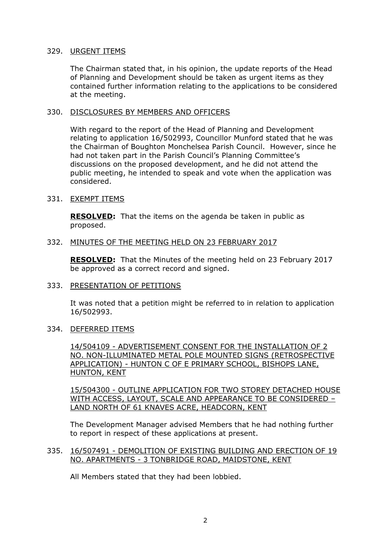#### 329. URGENT ITEMS

The Chairman stated that, in his opinion, the update reports of the Head of Planning and Development should be taken as urgent items as they contained further information relating to the applications to be considered at the meeting.

## 330. DISCLOSURES BY MEMBERS AND OFFICERS

With regard to the report of the Head of Planning and Development relating to application 16/502993, Councillor Munford stated that he was the Chairman of Boughton Monchelsea Parish Council. However, since he had not taken part in the Parish Council's Planning Committee's discussions on the proposed development, and he did not attend the public meeting, he intended to speak and vote when the application was considered.

## 331. EXEMPT ITEMS

RESOLVED: That the items on the agenda be taken in public as proposed.

#### 332. MINUTES OF THE MEETING HELD ON 23 FEBRUARY 2017

RESOLVED: That the Minutes of the meeting held on 23 February 2017 be approved as a correct record and signed.

#### 333. PRESENTATION OF PETITIONS

It was noted that a petition might be referred to in relation to application 16/502993.

#### 334. DEFERRED ITEMS

14/504109 - ADVERTISEMENT CONSENT FOR THE INSTALLATION OF 2 NO. NON-ILLUMINATED METAL POLE MOUNTED SIGNS (RETROSPECTIVE APPLICATION) - HUNTON C OF E PRIMARY SCHOOL, BISHOPS LANE, HUNTON, KENT

15/504300 - OUTLINE APPLICATION FOR TWO STOREY DETACHED HOUSE WITH ACCESS, LAYOUT, SCALE AND APPEARANCE TO BE CONSIDERED – LAND NORTH OF 61 KNAVES ACRE, HEADCORN, KENT

The Development Manager advised Members that he had nothing further to report in respect of these applications at present.

#### 335. 16/507491 - DEMOLITION OF EXISTING BUILDING AND ERECTION OF 19 NO. APARTMENTS - 3 TONBRIDGE ROAD, MAIDSTONE, KENT

All Members stated that they had been lobbied.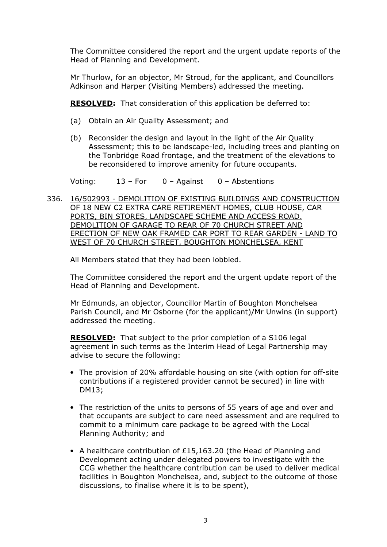The Committee considered the report and the urgent update reports of the Head of Planning and Development.

Mr Thurlow, for an objector, Mr Stroud, for the applicant, and Councillors Adkinson and Harper (Visiting Members) addressed the meeting.

RESOLVED: That consideration of this application be deferred to:

- (a) Obtain an Air Quality Assessment; and
- (b) Reconsider the design and layout in the light of the Air Quality Assessment; this to be landscape-led, including trees and planting on the Tonbridge Road frontage, and the treatment of the elevations to be reconsidered to improve amenity for future occupants.

Voting: 13 – For 0 – Against 0 – Abstentions

336. 16/502993 - DEMOLITION OF EXISTING BUILDINGS AND CONSTRUCTION OF 18 NEW C2 EXTRA CARE RETIREMENT HOMES, CLUB HOUSE, CAR PORTS, BIN STORES, LANDSCAPE SCHEME AND ACCESS ROAD. DEMOLITION OF GARAGE TO REAR OF 70 CHURCH STREET AND ERECTION OF NEW OAK FRAMED CAR PORT TO REAR GARDEN - LAND TO WEST OF 70 CHURCH STREET, BOUGHTON MONCHELSEA, KENT

All Members stated that they had been lobbied.

The Committee considered the report and the urgent update report of the Head of Planning and Development.

Mr Edmunds, an objector, Councillor Martin of Boughton Monchelsea Parish Council, and Mr Osborne (for the applicant)/Mr Unwins (in support) addressed the meeting.

RESOLVED: That subject to the prior completion of a S106 legal agreement in such terms as the Interim Head of Legal Partnership may advise to secure the following:

- The provision of 20% affordable housing on site (with option for off-site contributions if a registered provider cannot be secured) in line with DM13;
- The restriction of the units to persons of 55 years of age and over and that occupants are subject to care need assessment and are required to commit to a minimum care package to be agreed with the Local Planning Authority; and
- A healthcare contribution of £15,163.20 (the Head of Planning and Development acting under delegated powers to investigate with the CCG whether the healthcare contribution can be used to deliver medical facilities in Boughton Monchelsea, and, subject to the outcome of those discussions, to finalise where it is to be spent),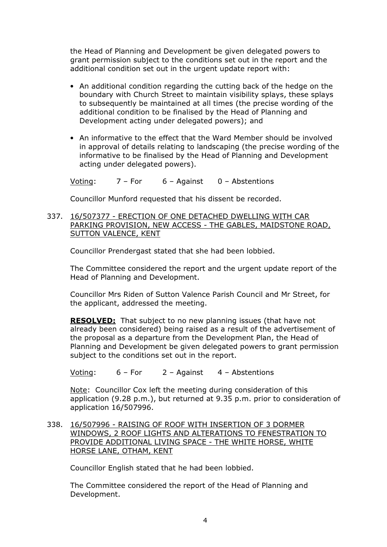the Head of Planning and Development be given delegated powers to grant permission subject to the conditions set out in the report and the additional condition set out in the urgent update report with:

- An additional condition regarding the cutting back of the hedge on the boundary with Church Street to maintain visibility splays, these splays to subsequently be maintained at all times (the precise wording of the additional condition to be finalised by the Head of Planning and Development acting under delegated powers); and
- An informative to the effect that the Ward Member should be involved in approval of details relating to landscaping (the precise wording of the informative to be finalised by the Head of Planning and Development acting under delegated powers).

Voting:  $7 - For$  6 – Against 0 – Abstentions

Councillor Munford requested that his dissent be recorded.

337. 16/507377 - ERECTION OF ONE DETACHED DWELLING WITH CAR PARKING PROVISION, NEW ACCESS - THE GABLES, MAIDSTONE ROAD, SUTTON VALENCE, KENT

Councillor Prendergast stated that she had been lobbied.

The Committee considered the report and the urgent update report of the Head of Planning and Development.

Councillor Mrs Riden of Sutton Valence Parish Council and Mr Street, for the applicant, addressed the meeting.

RESOLVED: That subject to no new planning issues (that have not already been considered) being raised as a result of the advertisement of the proposal as a departure from the Development Plan, the Head of Planning and Development be given delegated powers to grant permission subject to the conditions set out in the report.

Voting: 6 – For 2 – Against 4 – Abstentions

Note: Councillor Cox left the meeting during consideration of this application (9.28 p.m.), but returned at 9.35 p.m. prior to consideration of application 16/507996.

338. 16/507996 - RAISING OF ROOF WITH INSERTION OF 3 DORMER WINDOWS, 2 ROOF LIGHTS AND ALTERATIONS TO FENESTRATION TO PROVIDE ADDITIONAL LIVING SPACE - THE WHITE HORSE, WHITE HORSE LANE, OTHAM, KENT

Councillor English stated that he had been lobbied.

The Committee considered the report of the Head of Planning and Development.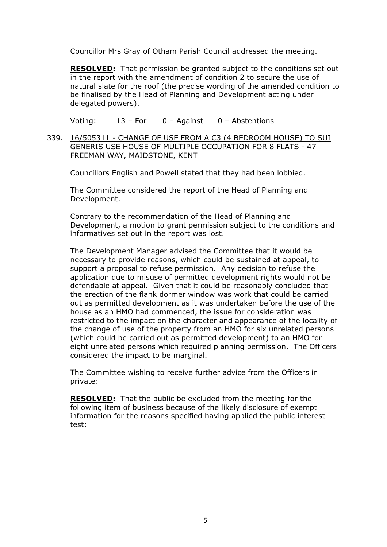Councillor Mrs Gray of Otham Parish Council addressed the meeting.

RESOLVED: That permission be granted subject to the conditions set out in the report with the amendment of condition 2 to secure the use of natural slate for the roof (the precise wording of the amended condition to be finalised by the Head of Planning and Development acting under delegated powers).

Voting: 13 – For 0 – Against 0 – Abstentions

339. 16/505311 - CHANGE OF USE FROM A C3 (4 BEDROOM HOUSE) TO SUI GENERIS USE HOUSE OF MULTIPLE OCCUPATION FOR 8 FLATS - 47 FREEMAN WAY, MAIDSTONE, KENT

Councillors English and Powell stated that they had been lobbied.

The Committee considered the report of the Head of Planning and Development.

Contrary to the recommendation of the Head of Planning and Development, a motion to grant permission subject to the conditions and informatives set out in the report was lost.

The Development Manager advised the Committee that it would be necessary to provide reasons, which could be sustained at appeal, to support a proposal to refuse permission. Any decision to refuse the application due to misuse of permitted development rights would not be defendable at appeal. Given that it could be reasonably concluded that the erection of the flank dormer window was work that could be carried out as permitted development as it was undertaken before the use of the house as an HMO had commenced, the issue for consideration was restricted to the impact on the character and appearance of the locality of the change of use of the property from an HMO for six unrelated persons (which could be carried out as permitted development) to an HMO for eight unrelated persons which required planning permission. The Officers considered the impact to be marginal.

The Committee wishing to receive further advice from the Officers in private:

RESOLVED: That the public be excluded from the meeting for the following item of business because of the likely disclosure of exempt information for the reasons specified having applied the public interest test: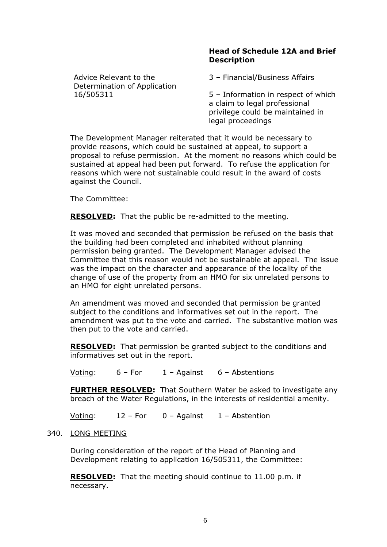#### Head of Schedule 12A and Brief **Description**

Advice Relevant to the Determination of Application 16/505311

3 – Financial/Business Affairs

5 – Information in respect of which a claim to legal professional privilege could be maintained in legal proceedings

The Development Manager reiterated that it would be necessary to provide reasons, which could be sustained at appeal, to support a proposal to refuse permission. At the moment no reasons which could be sustained at appeal had been put forward. To refuse the application for reasons which were not sustainable could result in the award of costs against the Council.

The Committee:

RESOLVED: That the public be re-admitted to the meeting.

It was moved and seconded that permission be refused on the basis that the building had been completed and inhabited without planning permission being granted. The Development Manager advised the Committee that this reason would not be sustainable at appeal. The issue was the impact on the character and appearance of the locality of the change of use of the property from an HMO for six unrelated persons to an HMO for eight unrelated persons.

An amendment was moved and seconded that permission be granted subject to the conditions and informatives set out in the report. The amendment was put to the vote and carried. The substantive motion was then put to the vote and carried.

**RESOLVED:** That permission be granted subject to the conditions and informatives set out in the report.

Voting: 6 – For 1 – Against 6 – Abstentions

FURTHER RESOLVED: That Southern Water be asked to investigate any breach of the Water Regulations, in the interests of residential amenity.

Voting: 12 – For 0 – Against 1 – Abstention

## 340. LONG MEETING

During consideration of the report of the Head of Planning and Development relating to application 16/505311, the Committee:

RESOLVED: That the meeting should continue to 11.00 p.m. if necessary.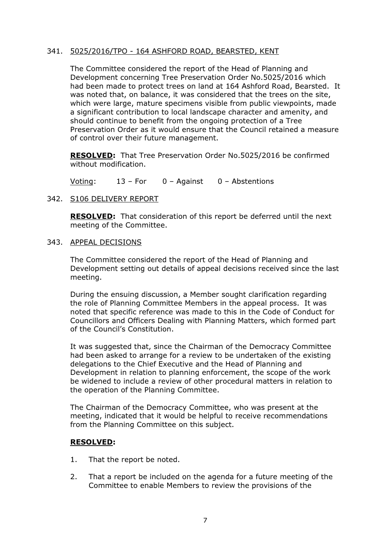## 341. 5025/2016/TPO - 164 ASHFORD ROAD, BEARSTED, KENT

The Committee considered the report of the Head of Planning and Development concerning Tree Preservation Order No.5025/2016 which had been made to protect trees on land at 164 Ashford Road, Bearsted. It was noted that, on balance, it was considered that the trees on the site, which were large, mature specimens visible from public viewpoints, made a significant contribution to local landscape character and amenity, and should continue to benefit from the ongoing protection of a Tree Preservation Order as it would ensure that the Council retained a measure of control over their future management.

RESOLVED: That Tree Preservation Order No.5025/2016 be confirmed without modification.

Voting: 13 – For 0 – Against 0 – Abstentions

#### 342. S106 DELIVERY REPORT

RESOLVED: That consideration of this report be deferred until the next meeting of the Committee.

#### 343. APPEAL DECISIONS

The Committee considered the report of the Head of Planning and Development setting out details of appeal decisions received since the last meeting.

During the ensuing discussion, a Member sought clarification regarding the role of Planning Committee Members in the appeal process. It was noted that specific reference was made to this in the Code of Conduct for Councillors and Officers Dealing with Planning Matters, which formed part of the Council's Constitution.

It was suggested that, since the Chairman of the Democracy Committee had been asked to arrange for a review to be undertaken of the existing delegations to the Chief Executive and the Head of Planning and Development in relation to planning enforcement, the scope of the work be widened to include a review of other procedural matters in relation to the operation of the Planning Committee.

The Chairman of the Democracy Committee, who was present at the meeting, indicated that it would be helpful to receive recommendations from the Planning Committee on this subject.

#### RESOLVED:

- 1. That the report be noted.
- 2. That a report be included on the agenda for a future meeting of the Committee to enable Members to review the provisions of the